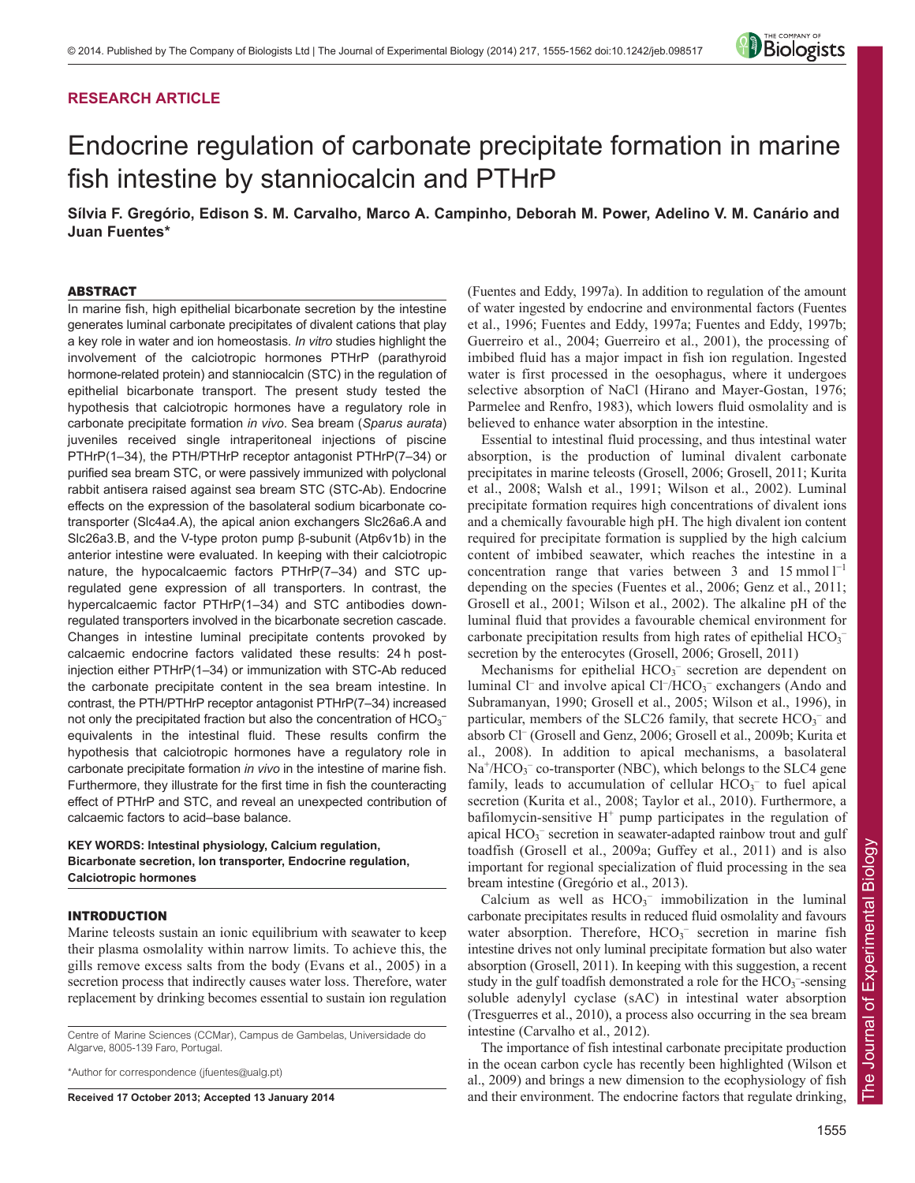# **RESEARCH ARTICLE**



# Endocrine regulation of carbonate precipitate formation in marine fish intestine by stanniocalcin and PTHrP

**Sílvia F. Gregório, Edison S. M. Carvalho, Marco A. Campinho, Deborah M. Power, Adelino V. M. Canário and Juan Fuentes\***

## ABSTRACT

In marine fish, high epithelial bicarbonate secretion by the intestine generates luminal carbonate precipitates of divalent cations that play a key role in water and ion homeostasis. *In vitro* studies highlight the involvement of the calciotropic hormones PTHrP (parathyroid hormone-related protein) and stanniocalcin (STC) in the regulation of epithelial bicarbonate transport. The present study tested the hypothesis that calciotropic hormones have a regulatory role in carbonate precipitate formation *in vivo*. Sea bream (*Sparus aurata*) juveniles received single intraperitoneal injections of piscine PTHrP(1–34), the PTH/PTHrP receptor antagonist PTHrP(7–34) or purified sea bream STC, or were passively immunized with polyclonal rabbit antisera raised against sea bream STC (STC-Ab). Endocrine effects on the expression of the basolateral sodium bicarbonate cotransporter (Slc4a4.A), the apical anion exchangers Slc26a6.A and Slc26a3.B, and the V-type proton pump β-subunit (Atp6v1b) in the anterior intestine were evaluated. In keeping with their calciotropic nature, the hypocalcaemic factors PTHrP(7–34) and STC upregulated gene expression of all transporters. In contrast, the hypercalcaemic factor PTHrP(1–34) and STC antibodies downregulated transporters involved in the bicarbonate secretion cascade. Changes in intestine luminal precipitate contents provoked by calcaemic endocrine factors validated these results: 24 h postinjection either PTHrP(1–34) or immunization with STC-Ab reduced the carbonate precipitate content in the sea bream intestine. In contrast, the PTH/PTHrP receptor antagonist PTHrP(7–34) increased not only the precipitated fraction but also the concentration of  $HCO<sub>3</sub>$ equivalents in the intestinal fluid. These results confirm the hypothesis that calciotropic hormones have a regulatory role in carbonate precipitate formation *in vivo* in the intestine of marine fish. Furthermore, they illustrate for the first time in fish the counteracting effect of PTHrP and STC, and reveal an unexpected contribution of calcaemic factors to acid–base balance.

# **KEY WORDS: Intestinal physiology, Calcium regulation, Bicarbonate secretion, Ion transporter, Endocrine regulation, Calciotropic hormones**

# INTRODUCTION

Marine teleosts sustain an ionic equilibrium with seawater to keep their plasma osmolality within narrow limits. To achieve this, the gills remove excess salts from the body (Evans et al., 2005) in a secretion process that indirectly causes water loss. Therefore, water replacement by drinking becomes essential to sustain ion regulation

Centre of Marine Sciences (CCMar), Campus de Gambelas, Universidade do Algarve, 8005-139 Faro, Portugal.

\*Author for correspondence (jfuentes@ualg.pt)

**Received 17 October 2013; Accepted 13 January 2014**

(Fuentes and Eddy, 1997a). In addition to regulation of the amount of water ingested by endocrine and environmental factors (Fuentes et al., 1996; Fuentes and Eddy, 1997a; Fuentes and Eddy, 1997b; Guerreiro et al., 2004; Guerreiro et al., 2001), the processing of imbibed fluid has a major impact in fish ion regulation. Ingested water is first processed in the oesophagus, where it undergoes selective absorption of NaCl (Hirano and Mayer-Gostan, 1976; Parmelee and Renfro, 1983), which lowers fluid osmolality and is believed to enhance water absorption in the intestine.

Essential to intestinal fluid processing, and thus intestinal water absorption, is the production of luminal divalent carbonate precipitates in marine teleosts (Grosell, 2006; Grosell, 2011; Kurita et al., 2008; Walsh et al., 1991; Wilson et al., 2002). Luminal precipitate formation requires high concentrations of divalent ions and a chemically favourable high pH. The high divalent ion content required for precipitate formation is supplied by the high calcium content of imbibed seawater, which reaches the intestine in a concentration range that varies between 3 and  $15$  mmol  $1^{-1}$ depending on the species (Fuentes et al., 2006; Genz et al., 2011; Grosell et al., 2001; Wilson et al., 2002). The alkaline pH of the luminal fluid that provides a favourable chemical environment for carbonate precipitation results from high rates of epithelial  $HCO<sub>3</sub>$ secretion by the enterocytes (Grosell, 2006; Grosell, 2011)

Mechanisms for epithelial  $HCO<sub>3</sub><sup>-</sup>$  secretion are dependent on luminal Cl<sup>-</sup> and involve apical Cl<sup>-</sup>/HCO<sub>3</sub><sup>-</sup> exchangers (Ando and Subramanyan, 1990; Grosell et al., 2005; Wilson et al., 1996), in particular, members of the SLC26 family, that secrete  $HCO_3^-$  and absorb Cl– (Grosell and Genz, 2006; Grosell et al., 2009b; Kurita et al., 2008). In addition to apical mechanisms, a basolateral Na<sup>+</sup>/HCO<sub>3</sub><sup>-</sup> co-transporter (NBC), which belongs to the SLC4 gene family, leads to accumulation of cellular  $HCO_3^-$  to fuel apical secretion (Kurita et al., 2008; Taylor et al., 2010). Furthermore, a bafilomycin-sensitive  $H^+$  pump participates in the regulation of apical  $HCO_3^-$  secretion in seawater-adapted rainbow trout and gulf toadfish (Grosell et al., 2009a; Guffey et al., 2011) and is also important for regional specialization of fluid processing in the sea bream intestine (Gregório et al., 2013).

Calcium as well as  $HCO<sub>3</sub><sup>-</sup>$  immobilization in the luminal carbonate precipitates results in reduced fluid osmolality and favours water absorption. Therefore,  $HCO<sub>3</sub>^-$  secretion in marine fish intestine drives not only luminal precipitate formation but also water absorption (Grosell, 2011). In keeping with this suggestion, a recent study in the gulf toadfish demonstrated a role for the  $HCO_3$ <sup>-</sup>-sensing soluble adenylyl cyclase (sAC) in intestinal water absorption (Tresguerres et al., 2010), a process also occurring in the sea bream intestine (Carvalho et al., 2012).

The importance of fish intestinal carbonate precipitate production in the ocean carbon cycle has recently been highlighted (Wilson et al., 2009) and brings a new dimension to the ecophysiology of fish and their environment. The endocrine factors that regulate drinking,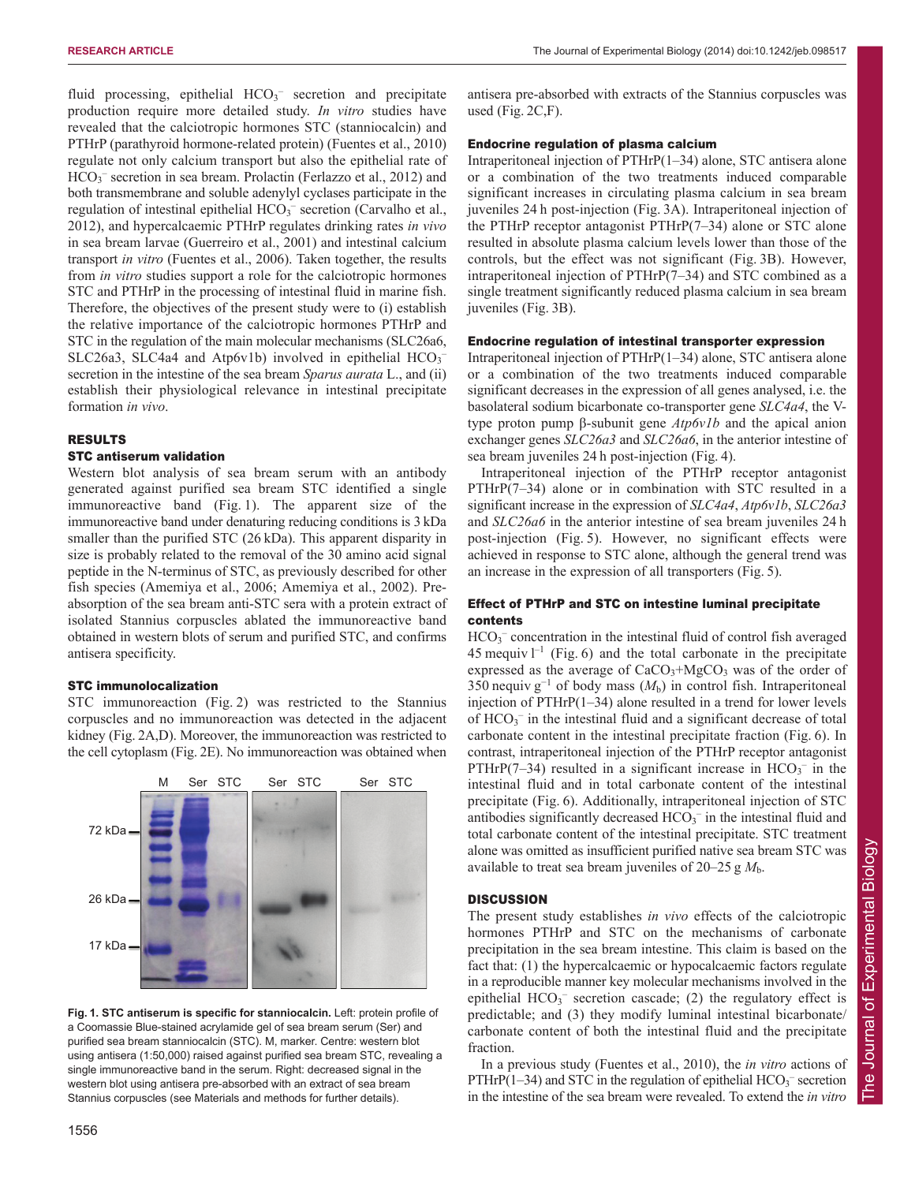fluid processing, epithelial  $HCO<sub>3</sub>^-$  secretion and precipitate production require more detailed study. *In vitro* studies have revealed that the calciotropic hormones STC (stanniocalcin) and PTHrP (parathyroid hormone-related protein) (Fuentes et al., 2010) regulate not only calcium transport but also the epithelial rate of HCO<sub>3</sub><sup>-</sup> secretion in sea bream. Prolactin (Ferlazzo et al., 2012) and both transmembrane and soluble adenylyl cyclases participate in the regulation of intestinal epithelial HCO<sub>3</sub><sup>-</sup> secretion (Carvalho et al., 2012), and hypercalcaemic PTHrP regulates drinking rates *in vivo* in sea bream larvae (Guerreiro et al., 2001) and intestinal calcium transport *in vitro* (Fuentes et al., 2006). Taken together, the results from *in vitro* studies support a role for the calciotropic hormones STC and PTHrP in the processing of intestinal fluid in marine fish. Therefore, the objectives of the present study were to (i) establish the relative importance of the calciotropic hormones PTHrP and STC in the regulation of the main molecular mechanisms (SLC26a6, SLC26a3, SLC4a4 and Atp6v1b) involved in epithelial HCO<sub>3</sub> secretion in the intestine of the sea bream *Sparus aurata* L., and (ii) establish their physiological relevance in intestinal precipitate formation *in vivo*.

### RESULTS

### STC antiserum validation

Western blot analysis of sea bream serum with an antibody generated against purified sea bream STC identified a single immunoreactive band (Fig. 1). The apparent size of the immunoreactive band under denaturing reducing conditions is 3 kDa smaller than the purified STC (26 kDa). This apparent disparity in size is probably related to the removal of the 30 amino acid signal peptide in the N-terminus of STC, as previously described for other fish species (Amemiya et al., 2006; Amemiya et al., 2002). Preabsorption of the sea bream anti-STC sera with a protein extract of isolated Stannius corpuscles ablated the immunoreactive band obtained in western blots of serum and purified STC, and confirms antisera specificity.

#### STC immunolocalization

STC immunoreaction (Fig. 2) was restricted to the Stannius corpuscles and no immunoreaction was detected in the adjacent kidney (Fig. 2A,D). Moreover, the immunoreaction was restricted to the cell cytoplasm (Fig. 2E). No immunoreaction was obtained when



**Fig. 1. STC antiserum is specific for stanniocalcin.** Left: protein profile of a Coomassie Blue-stained acrylamide gel of sea bream serum (Ser) and purified sea bream stanniocalcin (STC). M, marker. Centre: western blot using antisera (1:50,000) raised against purified sea bream STC, revealing a single immunoreactive band in the serum. Right: decreased signal in the western blot using antisera pre-absorbed with an extract of sea bream Stannius corpuscles (see Materials and methods for further details).

antisera pre-absorbed with extracts of the Stannius corpuscles was used (Fig. 2C,F).

#### Endocrine regulation of plasma calcium

Intraperitoneal injection of PTHrP(1–34) alone, STC antisera alone or a combination of the two treatments induced comparable significant increases in circulating plasma calcium in sea bream juveniles 24 h post-injection (Fig. 3A). Intraperitoneal injection of the PTHrP receptor antagonist PTHrP(7–34) alone or STC alone resulted in absolute plasma calcium levels lower than those of the controls, but the effect was not significant (Fig. 3B). However, intraperitoneal injection of PTHrP(7–34) and STC combined as a single treatment significantly reduced plasma calcium in sea bream juveniles (Fig. 3B).

#### Endocrine regulation of intestinal transporter expression

Intraperitoneal injection of PTHrP(1–34) alone, STC antisera alone or a combination of the two treatments induced comparable significant decreases in the expression of all genes analysed, i.e. the basolateral sodium bicarbonate co-transporter gene *SLC4a4*, the Vtype proton pump β-subunit gene *Atp6v1b* and the apical anion exchanger genes *SLC26a3* and *SLC26a6*, in the anterior intestine of sea bream juveniles 24 h post-injection (Fig. 4).

Intraperitoneal injection of the PTHrP receptor antagonist PTHrP(7–34) alone or in combination with STC resulted in a significant increase in the expression of *SLC4a4*, *Atp6v1b*, *SLC26a3* and *SLC26a6* in the anterior intestine of sea bream juveniles 24 h post-injection (Fig. 5). However, no significant effects were achieved in response to STC alone, although the general trend was an increase in the expression of all transporters (Fig. 5).

# Effect of PTHrP and STC on intestine luminal precipitate contents

HCO<sub>3</sub><sup>-</sup> concentration in the intestinal fluid of control fish averaged 45 mequiv  $l^{-1}$  (Fig. 6) and the total carbonate in the precipitate expressed as the average of  $CaCO<sub>3</sub>+MgCO<sub>3</sub>$  was of the order of 350 nequiv  $g^{-1}$  of body mass  $(M_h)$  in control fish. Intraperitoneal injection of PTHrP(1–34) alone resulted in a trend for lower levels of  $HCO_3^-$  in the intestinal fluid and a significant decrease of total carbonate content in the intestinal precipitate fraction (Fig. 6). In contrast, intraperitoneal injection of the PTHrP receptor antagonist PTHrP(7-34) resulted in a significant increase in  $HCO_3^-$  in the intestinal fluid and in total carbonate content of the intestinal precipitate (Fig. 6). Additionally, intraperitoneal injection of STC antibodies significantly decreased  $HCO_3^-$  in the intestinal fluid and total carbonate content of the intestinal precipitate. STC treatment alone was omitted as insufficient purified native sea bream STC was available to treat sea bream juveniles of 20–25 g *M*b.

## **DISCUSSION**

The present study establishes *in vivo* effects of the calciotropic hormones PTHrP and STC on the mechanisms of carbonate precipitation in the sea bream intestine. This claim is based on the fact that: (1) the hypercalcaemic or hypocalcaemic factors regulate in a reproducible manner key molecular mechanisms involved in the epithelial  $HCO<sub>3</sub><sup>-</sup>$  secretion cascade; (2) the regulatory effect is predictable; and (3) they modify luminal intestinal bicarbonate/ carbonate content of both the intestinal fluid and the precipitate fraction.

In a previous study (Fuentes et al., 2010), the *in vitro* actions of PTHrP(1-34) and STC in the regulation of epithelial  $HCO<sub>3</sub>^-$  secretion in the intestine of the sea bream were revealed. To extend the *in vitro*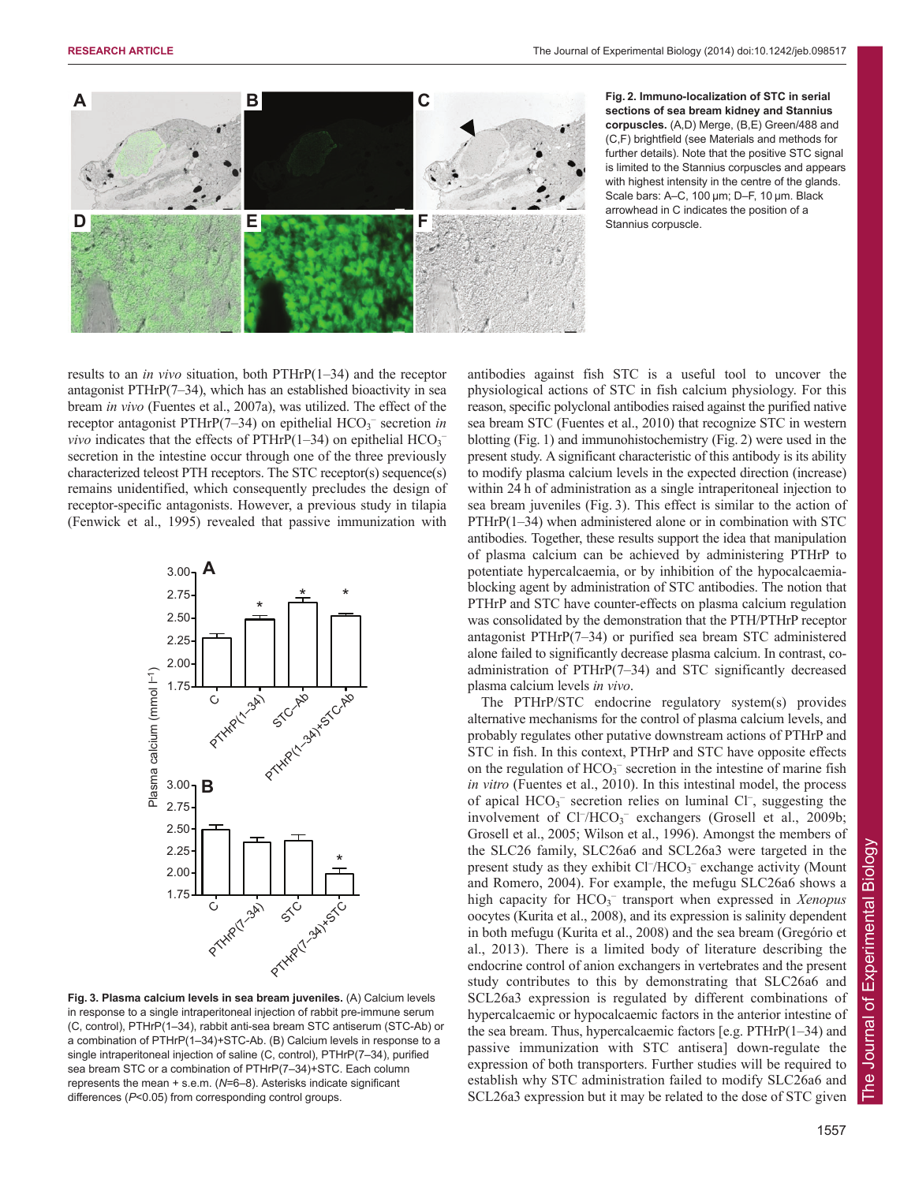

**Fig. 2. Immuno-localization of STC in serial sections of sea bream kidney and Stannius corpuscles.** (A,D) Merge, (B,E) Green/488 and (C,F) brightfield (see Materials and methods for further details). Note that the positive STC signal is limited to the Stannius corpuscles and appears with highest intensity in the centre of the glands. Scale bars: A–C, 100 μm; D–F, 10 μm. Black arrowhead in C indicates the position of a Stannius corpuscle.

results to an *in vivo* situation, both PTHrP(1–34) and the receptor antagonist  $PTHrP(7–34)$ , which has an established bioactivity in sea bream *in vivo* (Fuentes et al., 2007a), was utilized. The effect of the receptor antagonist PTHrP(7-34) on epithelial HCO<sub>3</sub><sup>-</sup> secretion *in vivo* indicates that the effects of PTHrP $(1-34)$  on epithelial  $HCO<sub>3</sub>$ <sup>-</sup> secretion in the intestine occur through one of the three previously characterized teleost PTH receptors. The STC receptor(s) sequence(s) remains unidentified, which consequently precludes the design of receptor-specific antagonists. However, a previous study in tilapia (Fenwick et al., 1995) revealed that passive immunization with



**Fig. 3. Plasma calcium levels in sea bream juveniles.** (A) Calcium levels in response to a single intraperitoneal injection of rabbit pre-immune serum (C, control), PTHrP(1–34), rabbit anti-sea bream STC antiserum (STC-Ab) or a combination of PTHrP(1–34)+STC-Ab. (B) Calcium levels in response to a single intraperitoneal injection of saline (C, control), PTHrP(7–34), purified sea bream STC or a combination of PTHrP(7–34)+STC. Each column represents the mean + s.e.m. (*N*=6–8). Asterisks indicate significant differences (*P*<0.05) from corresponding control groups.

antibodies against fish STC is a useful tool to uncover the physiological actions of STC in fish calcium physiology. For this reason, specific polyclonal antibodies raised against the purified native sea bream STC (Fuentes et al., 2010) that recognize STC in western blotting (Fig. 1) and immunohistochemistry (Fig. 2) were used in the present study. A significant characteristic of this antibody is its ability to modify plasma calcium levels in the expected direction (increase) within 24 h of administration as a single intraperitoneal injection to sea bream juveniles (Fig. 3). This effect is similar to the action of PTHrP(1–34) when administered alone or in combination with STC antibodies. Together, these results support the idea that manipulation of plasma calcium can be achieved by administering PTHrP to potentiate hypercalcaemia, or by inhibition of the hypocalcaemiablocking agent by administration of STC antibodies. The notion that PTHrP and STC have counter-effects on plasma calcium regulation was consolidated by the demonstration that the PTH/PTHrP receptor antagonist PTHrP(7–34) or purified sea bream STC administered alone failed to significantly decrease plasma calcium. In contrast, coadministration of PTHrP(7–34) and STC significantly decreased plasma calcium levels *in vivo*.

The PTHrP/STC endocrine regulatory system(s) provides alternative mechanisms for the control of plasma calcium levels, and probably regulates other putative downstream actions of PTHrP and STC in fish. In this context, PTHrP and STC have opposite effects on the regulation of  $HCO_3^-$  secretion in the intestine of marine fish *in vitro* (Fuentes et al., 2010). In this intestinal model, the process of apical HCO<sub>3</sub><sup>-</sup> secretion relies on luminal Cl<sup>-</sup>, suggesting the involvement of Cl<sup>-</sup>/HCO<sub>3</sub><sup>-</sup> exchangers (Grosell et al., 2009b; Grosell et al., 2005; Wilson et al., 1996). Amongst the members of the SLC26 family, SLC26a6 and SCL26a3 were targeted in the present study as they exhibit Cl<sup>-</sup>/HCO<sub>3</sub><sup>-</sup> exchange activity (Mount and Romero, 2004). For example, the mefugu SLC26a6 shows a high capacity for HCO<sub>3</sub><sup>-</sup> transport when expressed in *Xenopus* oocytes (Kurita et al., 2008), and its expression is salinity dependent in both mefugu (Kurita et al., 2008) and the sea bream (Gregório et al., 2013). There is a limited body of literature describing the endocrine control of anion exchangers in vertebrates and the present study contributes to this by demonstrating that SLC26a6 and SCL26a3 expression is regulated by different combinations of hypercalcaemic or hypocalcaemic factors in the anterior intestine of the sea bream. Thus, hypercalcaemic factors [e.g. PTHrP(1–34) and passive immunization with STC antisera] down-regulate the expression of both transporters. Further studies will be required to establish why STC administration failed to modify SLC26a6 and SCL26a3 expression but it may be related to the dose of STC given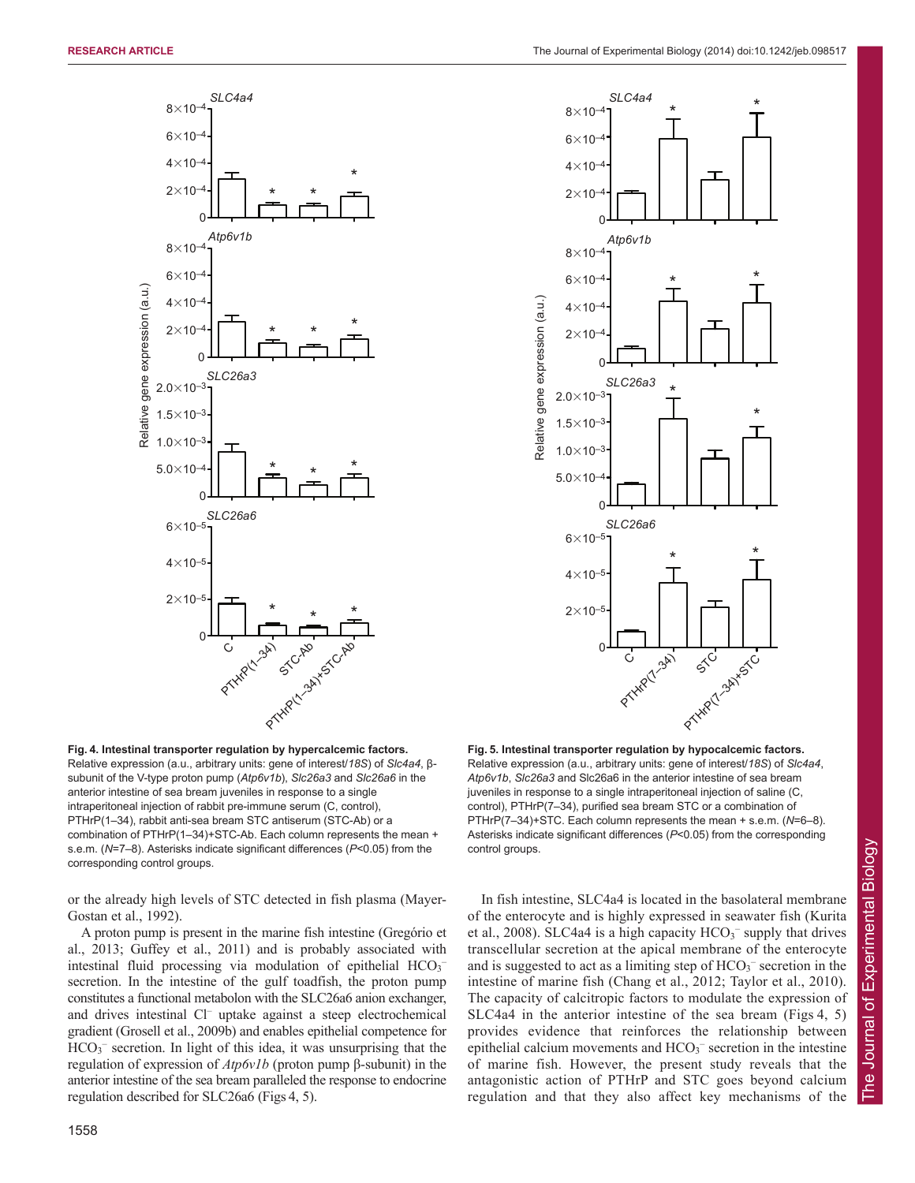



**Fig. 4. Intestinal transporter regulation by hypercalcemic factors.** Relative expression (a.u., arbitrary units: gene of interest/*18S*) of *Slc4a4*, βsubunit of the V-type proton pump (*Atp6v1b*), *Slc26a3* and *Slc26a6* in the anterior intestine of sea bream juveniles in response to a single intraperitoneal injection of rabbit pre-immune serum (C, control), PTHrP(1–34), rabbit anti-sea bream STC antiserum (STC-Ab) or a combination of PTHrP(1–34)+STC-Ab. Each column represents the mean + s.e.m. (*N*=7–8). Asterisks indicate significant differences (*P*<0.05) from the corresponding control groups.

or the already high levels of STC detected in fish plasma (Mayer-Gostan et al., 1992).

A proton pump is present in the marine fish intestine (Gregório et al., 2013; Guffey et al., 2011) and is probably associated with intestinal fluid processing via modulation of epithelial HCO<sub>3</sub><sup>-</sup> secretion. In the intestine of the gulf toadfish, the proton pump constitutes a functional metabolon with the SLC26a6 anion exchanger, and drives intestinal Cl– uptake against a steep electrochemical gradient (Grosell et al., 2009b) and enables epithelial competence for HCO<sub>3</sub><sup>-</sup> secretion. In light of this idea, it was unsurprising that the regulation of expression of *Atp6v1b* (proton pump β-subunit) in the anterior intestine of the sea bream paralleled the response to endocrine regulation described for SLC26a6 (Figs 4, 5).

**Fig. 5. Intestinal transporter regulation by hypocalcemic factors.** Relative expression (a.u., arbitrary units: gene of interest/*18S*) of *Slc4a4*, *Atp6v1b*, *Slc26a3* and Slc26a6 in the anterior intestine of sea bream juveniles in response to a single intraperitoneal injection of saline (C, control), PTHrP(7–34), purified sea bream STC or a combination of PTHrP(7–34)+STC. Each column represents the mean + s.e.m. (*N*=6–8). Asterisks indicate significant differences (*P*<0.05) from the corresponding control groups.

In fish intestine, SLC4a4 is located in the basolateral membrane of the enterocyte and is highly expressed in seawater fish (Kurita et al., 2008). SLC4a4 is a high capacity  $HCO_3^-$  supply that drives transcellular secretion at the apical membrane of the enterocyte and is suggested to act as a limiting step of  $HCO<sub>3</sub><sup>-</sup>$  secretion in the intestine of marine fish (Chang et al., 2012; Taylor et al., 2010). The capacity of calcitropic factors to modulate the expression of SLC4a4 in the anterior intestine of the sea bream (Figs 4, 5) provides evidence that reinforces the relationship between epithelial calcium movements and  $HCO<sub>3</sub><sup>-</sup>$  secretion in the intestine of marine fish. However, the present study reveals that the antagonistic action of PTHrP and STC goes beyond calcium regulation and that they also affect key mechanisms of the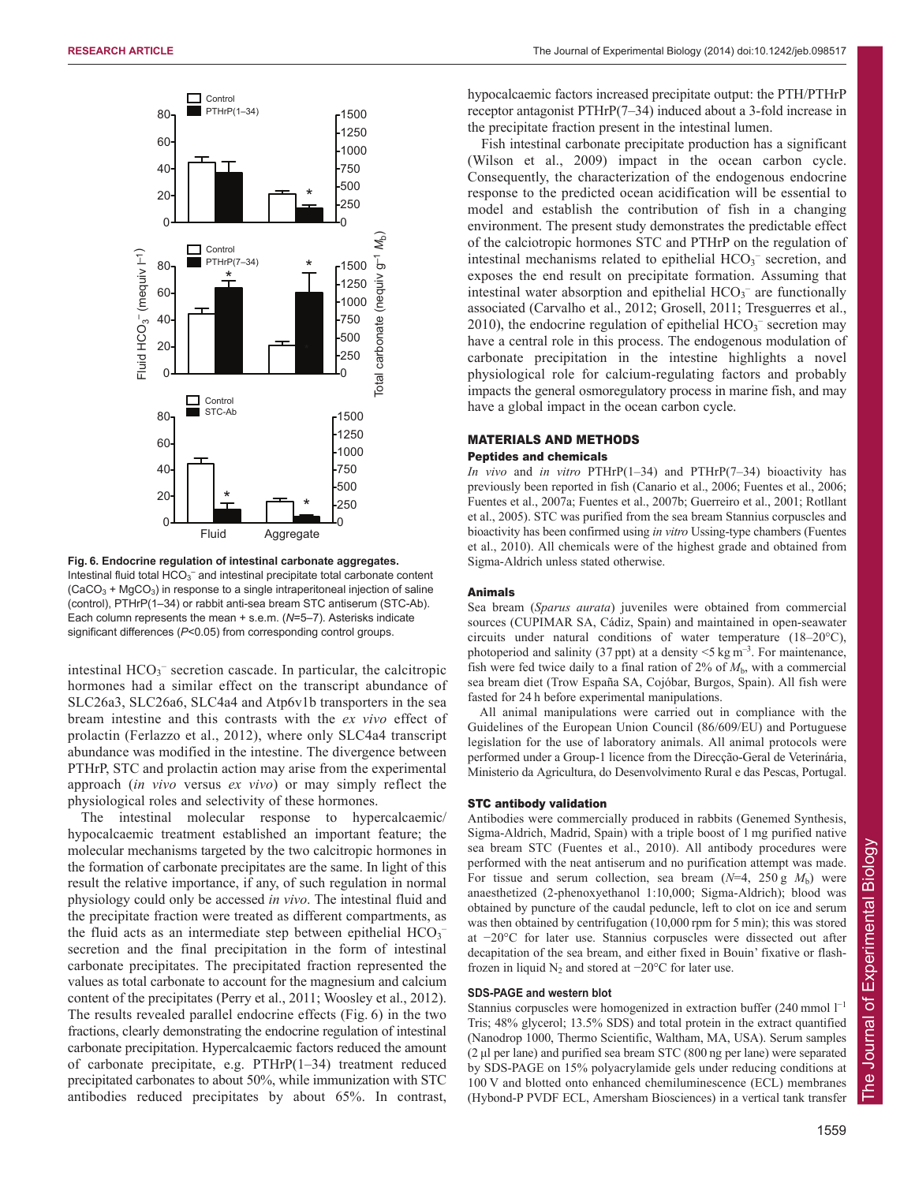

**Fig. 6. Endocrine regulation of intestinal carbonate aggregates.** Intestinal fluid total  $HCO<sub>3</sub><sup>-</sup>$  and intestinal precipitate total carbonate content  $(CaCO<sub>3</sub> + MgCO<sub>3</sub>)$  in response to a single intraperitoneal injection of saline (control), PTHrP(1–34) or rabbit anti-sea bream STC antiserum (STC-Ab). Each column represents the mean + s.e.m. (*N*=5–7). Asterisks indicate significant differences (*P*<0.05) from corresponding control groups.

intestinal  $HCO_3^-$  secretion cascade. In particular, the calcitropic hormones had a similar effect on the transcript abundance of SLC26a3, SLC26a6, SLC4a4 and Atp6v1b transporters in the sea bream intestine and this contrasts with the *ex vivo* effect of prolactin (Ferlazzo et al., 2012), where only SLC4a4 transcript abundance was modified in the intestine. The divergence between PTHrP, STC and prolactin action may arise from the experimental approach (*in vivo* versus *ex vivo*) or may simply reflect the physiological roles and selectivity of these hormones.

The intestinal molecular response to hypercalcaemic/ hypocalcaemic treatment established an important feature; the molecular mechanisms targeted by the two calcitropic hormones in the formation of carbonate precipitates are the same. In light of this result the relative importance, if any, of such regulation in normal physiology could only be accessed *in vivo*. The intestinal fluid and the precipitate fraction were treated as different compartments, as the fluid acts as an intermediate step between epithelial  $HCO<sub>3</sub>$ secretion and the final precipitation in the form of intestinal carbonate precipitates. The precipitated fraction represented the values as total carbonate to account for the magnesium and calcium content of the precipitates (Perry et al., 2011; Woosley et al., 2012). The results revealed parallel endocrine effects (Fig. 6) in the two fractions, clearly demonstrating the endocrine regulation of intestinal carbonate precipitation. Hypercalcaemic factors reduced the amount of carbonate precipitate, e.g. PTHrP(1–34) treatment reduced precipitated carbonates to about 50%, while immunization with STC antibodies reduced precipitates by about 65%. In contrast,

hypocalcaemic factors increased precipitate output: the PTH/PTHrP receptor antagonist PTHrP(7–34) induced about a 3-fold increase in the precipitate fraction present in the intestinal lumen.

Fish intestinal carbonate precipitate production has a significant (Wilson et al., 2009) impact in the ocean carbon cycle. Consequently, the characterization of the endogenous endocrine response to the predicted ocean acidification will be essential to model and establish the contribution of fish in a changing environment. The present study demonstrates the predictable effect of the calciotropic hormones STC and PTHrP on the regulation of intestinal mechanisms related to epithelial  $HCO<sub>3</sub><sup>-</sup>$  secretion, and exposes the end result on precipitate formation. Assuming that intestinal water absorption and epithelial  $HCO<sub>3</sub><sup>-</sup>$  are functionally associated (Carvalho et al., 2012; Grosell, 2011; Tresguerres et al., 2010), the endocrine regulation of epithelial  $HCO<sub>3</sub><sup>-</sup>$  secretion may have a central role in this process. The endogenous modulation of carbonate precipitation in the intestine highlights a novel physiological role for calcium-regulating factors and probably impacts the general osmoregulatory process in marine fish, and may have a global impact in the ocean carbon cycle.

#### MATERIALS AND METHODS Peptides and chemicals

*In vivo* and *in vitro* PTHrP(1–34) and PTHrP(7–34) bioactivity has previously been reported in fish (Canario et al., 2006; Fuentes et al., 2006; Fuentes et al., 2007a; Fuentes et al., 2007b; Guerreiro et al., 2001; Rotllant et al., 2005). STC was purified from the sea bream Stannius corpuscles and bioactivity has been confirmed using *in vitro* Ussing-type chambers (Fuentes et al., 2010). All chemicals were of the highest grade and obtained from Sigma-Aldrich unless stated otherwise.

#### Animals

Sea bream (*Sparus aurata*) juveniles were obtained from commercial sources (CUPIMAR SA, Cádiz, Spain) and maintained in open-seawater circuits under natural conditions of water temperature (18–20°C), photoperiod and salinity (37 ppt) at a density  $\leq$  5 kg m<sup>-3</sup>. For maintenance, fish were fed twice daily to a final ration of  $2\%$  of  $M<sub>b</sub>$ , with a commercial sea bream diet (Trow España SA, Cojóbar, Burgos, Spain). All fish were fasted for 24 h before experimental manipulations.

All animal manipulations were carried out in compliance with the Guidelines of the European Union Council (86/609/EU) and Portuguese legislation for the use of laboratory animals. All animal protocols were performed under a Group-1 licence from the Direcção-Geral de Veterinária, Ministerio da Agricultura, do Desenvolvimento Rural e das Pescas, Portugal.

#### STC antibody validation

Antibodies were commercially produced in rabbits (Genemed Synthesis, Sigma-Aldrich, Madrid, Spain) with a triple boost of 1 mg purified native sea bream STC (Fuentes et al., 2010). All antibody procedures were performed with the neat antiserum and no purification attempt was made. For tissue and serum collection, sea bream  $(N=4, 250 \text{ g } M_b)$  were anaesthetized (2-phenoxyethanol 1:10,000; Sigma-Aldrich); blood was obtained by puncture of the caudal peduncle, left to clot on ice and serum was then obtained by centrifugation (10,000 rpm for 5 min); this was stored at −20°C for later use. Stannius corpuscles were dissected out after decapitation of the sea bream, and either fixed in Bouin' fixative or flashfrozen in liquid  $N_2$  and stored at  $-20^{\circ}$ C for later use.

## **SDS-PAGE and western blot**

Stannius corpuscles were homogenized in extraction buffer (240 mmol  $1^{-1}$ ) Tris; 48% glycerol; 13.5% SDS) and total protein in the extract quantified (Nanodrop 1000, Thermo Scientific, Waltham, MA, USA). Serum samples (2 μl per lane) and purified sea bream STC (800 ng per lane) were separated by SDS-PAGE on 15% polyacrylamide gels under reducing conditions at 100 V and blotted onto enhanced chemiluminescence (ECL) membranes (Hybond-P PVDF ECL, Amersham Biosciences) in a vertical tank transfer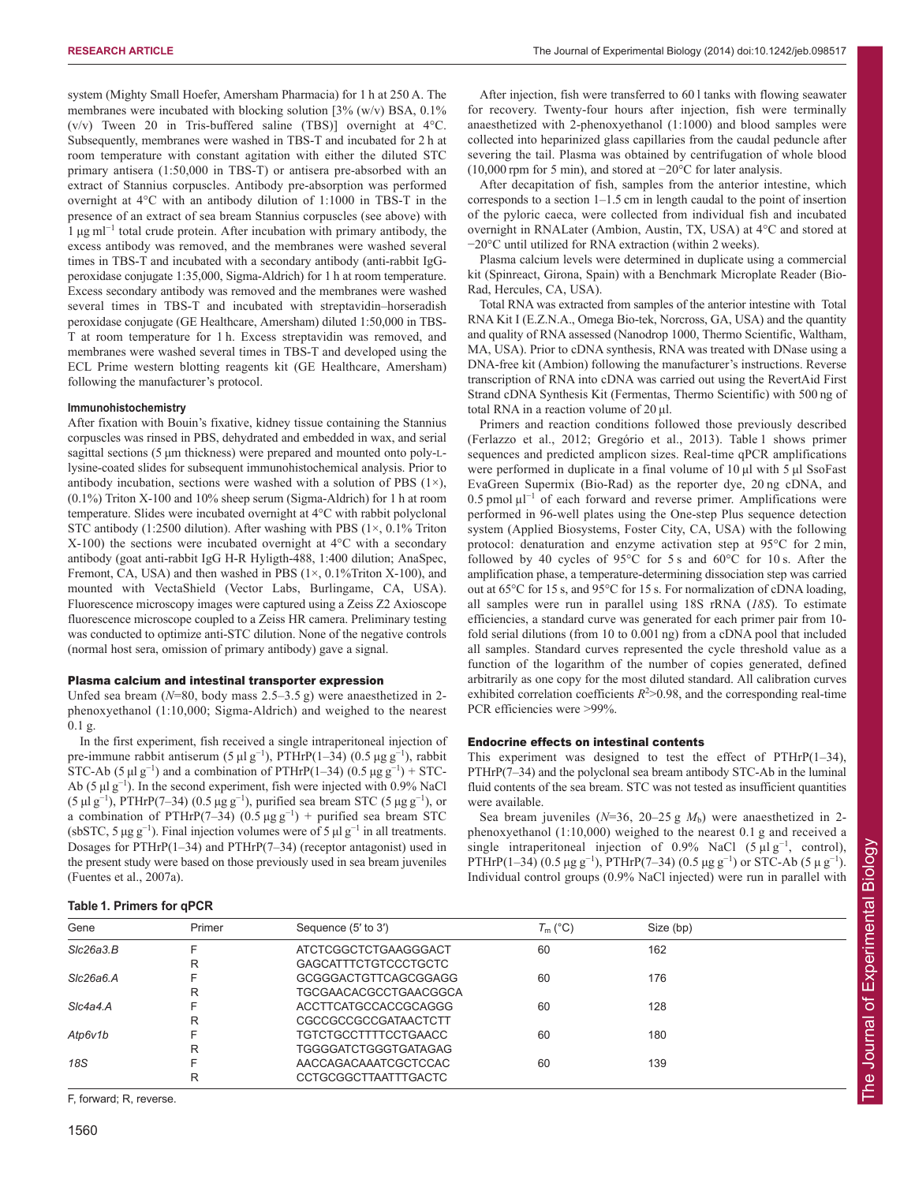system (Mighty Small Hoefer, Amersham Pharmacia) for 1 h at 250 A. The membranes were incubated with blocking solution [3% (w/v) BSA, 0.1% (v/v) Tween 20 in Tris-buffered saline (TBS)] overnight at 4°C. Subsequently, membranes were washed in TBS-T and incubated for 2 h at room temperature with constant agitation with either the diluted STC primary antisera (1:50,000 in TBS-T) or antisera pre-absorbed with an extract of Stannius corpuscles. Antibody pre-absorption was performed overnight at 4°C with an antibody dilution of 1:1000 in TBS-T in the presence of an extract of sea bream Stannius corpuscles (see above) with 1 μg ml<sup>−</sup><sup>1</sup> total crude protein. After incubation with primary antibody, the excess antibody was removed, and the membranes were washed several times in TBS-T and incubated with a secondary antibody (anti-rabbit IgGperoxidase conjugate 1:35,000, Sigma-Aldrich) for 1 h at room temperature. Excess secondary antibody was removed and the membranes were washed several times in TBS-T and incubated with streptavidin–horseradish peroxidase conjugate (GE Healthcare, Amersham) diluted 1:50,000 in TBS-T at room temperature for 1 h. Excess streptavidin was removed, and membranes were washed several times in TBS-T and developed using the ECL Prime western blotting reagents kit (GE Healthcare, Amersham) following the manufacturer's protocol.

#### **Immunohistochemistry**

After fixation with Bouin's fixative, kidney tissue containing the Stannius corpuscles was rinsed in PBS, dehydrated and embedded in wax, and serial sagittal sections (5 μm thickness) were prepared and mounted onto poly-Llysine-coated slides for subsequent immunohistochemical analysis. Prior to antibody incubation, sections were washed with a solution of PBS  $(1\times)$ , (0.1%) Triton X-100 and 10% sheep serum (Sigma-Aldrich) for 1 h at room temperature. Slides were incubated overnight at 4°C with rabbit polyclonal STC antibody  $(1:2500$  dilution). After washing with PBS  $(1 \times 0.1\%$  Triton X-100) the sections were incubated overnight at 4°C with a secondary antibody (goat anti-rabbit IgG H-R Hyligth-488, 1:400 dilution; AnaSpec, Fremont, CA, USA) and then washed in PBS  $(1 \times, 0.1\%$ Triton X-100), and mounted with VectaShield (Vector Labs, Burlingame, CA, USA). Fluorescence microscopy images were captured using a Zeiss Z2 Axioscope fluorescence microscope coupled to a Zeiss HR camera. Preliminary testing was conducted to optimize anti-STC dilution. None of the negative controls (normal host sera, omission of primary antibody) gave a signal.

### Plasma calcium and intestinal transporter expression

Unfed sea bream (*N*=80, body mass 2.5–3.5 g) were anaesthetized in 2 phenoxyethanol (1:10,000; Sigma-Aldrich) and weighed to the nearest 0.1 g.

In the first experiment, fish received a single intraperitoneal injection of pre-immune rabbit antiserum (5  $\mu$ l g<sup>-1</sup>), PTHrP(1–34) (0.5  $\mu$ g g<sup>-1</sup>), rabbit STC-Ab (5  $\mu$ l g<sup>-1</sup>) and a combination of PTHrP(1–34) (0.5  $\mu$ g g<sup>-1</sup>) + STC-Ab (5  $\mu$ l g<sup>-1</sup>). In the second experiment, fish were injected with 0.9% NaCl (5 µl g<sup>-1</sup>), PTHrP(7–34) (0.5 µg g<sup>-1</sup>), purified sea bream STC (5 µg g<sup>-1</sup>), or a combination of PTHrP(7–34) (0.5 µg g<sup>-1</sup>) + purified sea bream STC (sbSTC, 5  $\mu$ g g<sup>-1</sup>). Final injection volumes were of 5  $\mu$ l g<sup>-1</sup> in all treatments. Dosages for PTHrP(1–34) and PTHrP(7–34) (receptor antagonist) used in the present study were based on those previously used in sea bream juveniles (Fuentes et al., 2007a).

After injection, fish were transferred to 60 l tanks with flowing seawater for recovery. Twenty-four hours after injection, fish were terminally anaesthetized with 2-phenoxyethanol (1:1000) and blood samples were collected into heparinized glass capillaries from the caudal peduncle after severing the tail. Plasma was obtained by centrifugation of whole blood (10,000 rpm for 5 min), and stored at −20°C for later analysis.

After decapitation of fish, samples from the anterior intestine, which corresponds to a section 1–1.5 cm in length caudal to the point of insertion of the pyloric caeca, were collected from individual fish and incubated overnight in RNALater (Ambion, Austin, TX, USA) at 4°C and stored at −20°C until utilized for RNA extraction (within 2 weeks).

Plasma calcium levels were determined in duplicate using a commercial kit (Spinreact, Girona, Spain) with a Benchmark Microplate Reader (Bio-Rad, Hercules, CA, USA).

Total RNA was extracted from samples of the anterior intestine with Total RNA Kit I (E.Z.N.A., Omega Bio-tek, Norcross, GA, USA) and the quantity and quality of RNA assessed (Nanodrop 1000, Thermo Scientific, Waltham, MA, USA). Prior to cDNA synthesis, RNA was treated with DNase using a DNA-free kit (Ambion) following the manufacturer's instructions. Reverse transcription of RNA into cDNA was carried out using the RevertAid First Strand cDNA Synthesis Kit (Fermentas, Thermo Scientific) with 500 ng of total RNA in a reaction volume of 20 μl.

Primers and reaction conditions followed those previously described (Ferlazzo et al., 2012; Gregório et al., 2013). Table 1 shows primer sequences and predicted amplicon sizes. Real-time qPCR amplifications were performed in duplicate in a final volume of 10 μl with 5 μl SsoFast EvaGreen Supermix (Bio-Rad) as the reporter dye, 20 ng cDNA, and 0.5 pmol µl<sup>−</sup><sup>1</sup> of each forward and reverse primer. Amplifications were performed in 96-well plates using the One-step Plus sequence detection system (Applied Biosystems, Foster City, CA, USA) with the following protocol: denaturation and enzyme activation step at 95°C for 2 min, followed by 40 cycles of 95°C for 5 s and 60°C for 10 s. After the amplification phase, a temperature-determining dissociation step was carried out at 65°C for 15 s, and 95°C for 15 s. For normalization of cDNA loading, all samples were run in parallel using 18S rRNA (*18S*). To estimate efficiencies, a standard curve was generated for each primer pair from 10 fold serial dilutions (from 10 to 0.001 ng) from a cDNA pool that included all samples. Standard curves represented the cycle threshold value as a function of the logarithm of the number of copies generated, defined arbitrarily as one copy for the most diluted standard. All calibration curves exhibited correlation coefficients  $R^2 > 0.98$ , and the corresponding real-time PCR efficiencies were >99%.

## Endocrine effects on intestinal contents

This experiment was designed to test the effect of PTHrP(1–34), PTHrP(7–34) and the polyclonal sea bream antibody STC-Ab in the luminal fluid contents of the sea bream. STC was not tested as insufficient quantities were available.

Sea bream juveniles ( $N=36$ , 20–25 g  $M<sub>b</sub>$ ) were anaesthetized in 2phenoxyethanol (1:10,000) weighed to the nearest 0.1 g and received a single intraperitoneal injection of 0.9% NaCl  $(5 \mu \lg^{-1})$ , control), PTHrP(1–34) (0.5  $\mu$ g g<sup>-1</sup>), PTHrP(7–34) (0.5  $\mu$ g g<sup>-1</sup>) or STC-Ab (5  $\mu$  g<sup>-1</sup>). Individual control groups (0.9% NaCl injected) were run in parallel with

#### **Table 1. Primers for qPCR**

| Gene      | Primer | Sequence (5' to 3')          | $T_m$ (°C) | Size (bp) |  |
|-----------|--------|------------------------------|------------|-----------|--|
| Slc26a3.B |        | ATCTCGGCTCTGAAGGGACT         | 60         | 162       |  |
|           | R      | GAGCATTTCTGTCCCTGCTC         |            |           |  |
| SIc26a6.A |        | GCGGGACTGTTCAGCGGAGG         | 60         | 176       |  |
|           | R      | <b>TGCGAACACGCCTGAACGGCA</b> |            |           |  |
| Slc4a4.A  |        | ACCTTCATGCCACCGCAGGG         | 60         | 128       |  |
|           | R      | CGCCGCCGCCGATAACTCTT         |            |           |  |
| Atp6v1b   | F      | TGTCTGCCTTTTCCTGAACC         | 60         | 180       |  |
|           | R      | <b>TGGGGATCTGGGTGATAGAG</b>  |            |           |  |
| 18S       | ⊏      | AACCAGACAAATCGCTCCAC         | 60         | 139       |  |
|           | R      | <b>CCTGCGGCTTAATTTGACTC</b>  |            |           |  |
|           |        |                              |            |           |  |

F, forward; R, reverse.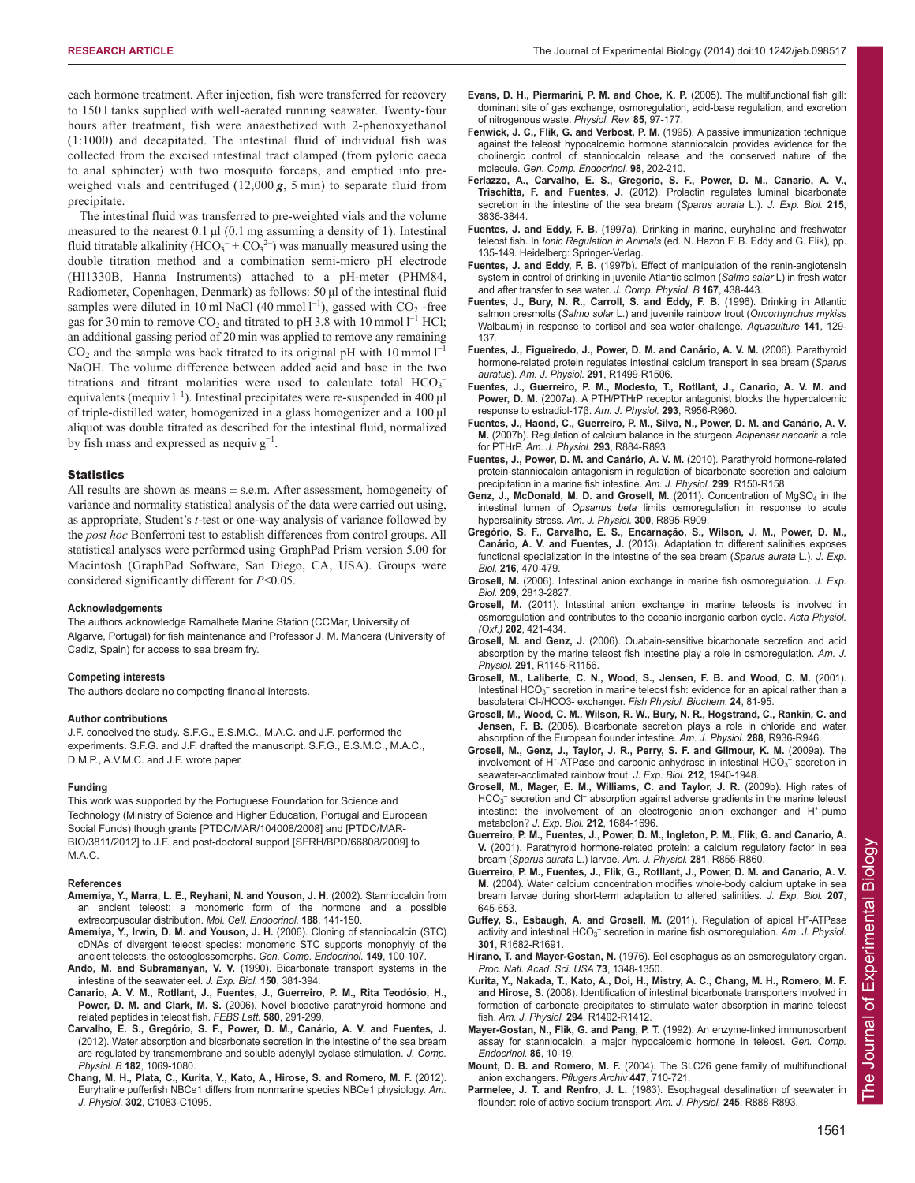each hormone treatment. After injection, fish were transferred for recovery to 150 l tanks supplied with well-aerated running seawater. Twenty-four hours after treatment, fish were anaesthetized with 2-phenoxyethanol (1:1000) and decapitated. The intestinal fluid of individual fish was collected from the excised intestinal tract clamped (from pyloric caeca to anal sphincter) with two mosquito forceps, and emptied into preweighed vials and centrifuged (12,000 *g*, 5 min) to separate fluid from precipitate.

The intestinal fluid was transferred to pre-weighted vials and the volume measured to the nearest 0.1 μl (0.1 mg assuming a density of 1). Intestinal fluid titratable alkalinity ( $HCO_3^- + CO_3^2$ ) was manually measured using the double titration method and a combination semi-micro pH electrode (HI1330B, Hanna Instruments) attached to a pH-meter (PHM84, Radiometer, Copenhagen, Denmark) as follows: 50 μl of the intestinal fluid samples were diluted in 10 ml NaCl (40 mmol  $l^{-1}$ ), gassed with  $CO_2$ <sup>-</sup>-free gas for 30 min to remove  $CO_2$  and titrated to pH 3.8 with 10 mmol  $l^{-1}$  HCl; an additional gassing period of 20 min was applied to remove any remaining  $CO<sub>2</sub>$  and the sample was back titrated to its original pH with 10 mmol  $l<sup>-1</sup>$ NaOH. The volume difference between added acid and base in the two titrations and titrant molarities were used to calculate total  $HCO<sub>3</sub>$ equivalents (mequiv  $l^{-1}$ ). Intestinal precipitates were re-suspended in 400 µl of triple-distilled water, homogenized in a glass homogenizer and a 100 μl aliquot was double titrated as described for the intestinal fluid, normalized by fish mass and expressed as nequiv  $g^{-1}$ .

#### **Statistics**

All results are shown as means  $\pm$  s.e.m. After assessment, homogeneity of variance and normality statistical analysis of the data were carried out using, as appropriate, Student's *t*-test or one-way analysis of variance followed by the *post hoc* Bonferroni test to establish differences from control groups. All statistical analyses were performed using GraphPad Prism version 5.00 for Macintosh (GraphPad Software, San Diego, CA, USA). Groups were considered significantly different for *P*<0.05.

#### **Acknowledgements**

The authors acknowledge Ramalhete Marine Station (CCMar, University of Algarve, Portugal) for fish maintenance and Professor J. M. Mancera (University of Cadiz, Spain) for access to sea bream fry.

#### **Competing interests**

The authors declare no competing financial interests.

#### **Author contributions**

J.F. conceived the study. S.F.G., E.S.M.C., M.A.C. and J.F. performed the experiments. S.F.G. and J.F. drafted the manuscript. S.F.G., E.S.M.C., M.A.C., D.M.P., A.V.M.C. and J.F. wrote paper.

#### **Funding**

This work was supported by the Portuguese Foundation for Science and Technology (Ministry of Science and Higher Education, Portugal and European Social Funds) though grants [PTDC/MAR/104008/2008] and [PTDC/MAR-BIO/3811/2012] to J.F. and post-doctoral support [SFRH/BPD/66808/2009] to M.A.C.

#### **References**

- **Amemiya, Y., Marra, L. E., Reyhani, N. and Youson, J. H.** (2002). Stanniocalcin from an ancient teleost: a monomeric form of the hormone and a possible extracorpuscular distribution. *Mol. Cell. Endocrinol.* **188**, 141-150.
- **Amemiya, Y., Irwin, D. M. and Youson, J. H.** (2006). Cloning of stanniocalcin (STC) cDNAs of divergent teleost species: monomeric STC supports monophyly of the ancient teleosts, the osteoglossomorphs. *Gen. Comp. Endocrinol.* **149**, 100-107.
- **Ando, M. and Subramanyan, V. V.** (1990). Bicarbonate transport systems in the intestine of the seawater eel. *J. Exp. Biol.* **150**, 381-394.
- **Canario, A. V. M., Rotllant, J., Fuentes, J., Guerreiro, P. M., Rita Teodósio, H., Power, D. M. and Clark, M. S.** (2006). Novel bioactive parathyroid hormone and related peptides in teleost fish. *FEBS Lett.* **580**, 291-299.
- **Carvalho, E. S., Gregório, S. F., Power, D. M., Canário, A. V. and Fuentes, J.** (2012). Water absorption and bicarbonate secretion in the intestine of the sea bream are regulated by transmembrane and soluble adenylyl cyclase stimulation. *J. Comp. Physiol. B* **182**, 1069-1080.
- **Chang, M. H., Plata, C., Kurita, Y., Kato, A., Hirose, S. and Romero, M. F.** (2012). Euryhaline pufferfish NBCe1 differs from nonmarine species NBCe1 physiology. *Am. J. Physiol.* **302**, C1083-C1095.
- **Evans, D. H., Piermarini, P. M. and Choe, K. P.** (2005). The multifunctional fish gill: dominant site of gas exchange, osmoregulation, acid-base regulation, and excretion of nitrogenous waste. *Physiol. Rev.* **85**, 97-177.
- **Fenwick, J. C., Flik, G. and Verbost, P. M.** (1995). A passive immunization technique against the teleost hypocalcemic hormone stanniocalcin provides evidence for the cholinergic control of stanniocalcin release and the conserved nature of the molecule. *Gen. Comp. Endocrinol.* **98**, 202-210.
- **Ferlazzo, A., Carvalho, E. S., Gregorio, S. F., Power, D. M., Canario, A. V., Trischitta, F. and Fuentes, J.** (2012). Prolactin regulates luminal bicarbonate secretion in the intestine of the sea bream (*Sparus aurata* L.). *J. Exp. Biol.* **215**, 3836-3844.
- **Fuentes, J. and Eddy, F. B.** (1997a). Drinking in marine, euryhaline and freshwater teleost fish. In *Ionic Regulation in Animals* (ed. N. Hazon F. B. Eddy and G. Flik), pp. 135-149. Heidelberg: Springer-Verlag.
- **Fuentes, J. and Eddy, F. B.** (1997b). Effect of manipulation of the renin-angiotensin system in control of drinking in juvenile Atlantic salmon (*Salmo salar* L) in fresh water and after transfer to sea water. *J. Comp. Physiol. B* **167**, 438-443.
- **Fuentes, J., Bury, N. R., Carroll, S. and Eddy, F. B.** (1996). Drinking in Atlantic salmon presmolts (*Salmo solar* L.) and juvenile rainbow trout (*Oncorhynchus mykiss* Walbaum) in response to cortisol and sea water challenge. *Aquaculture* **141**, 129- 137.
- **Fuentes, J., Figueiredo, J., Power, D. M. and Canário, A. V. M.** (2006). Parathyroid hormone-related protein regulates intestinal calcium transport in sea bream (*Sparus auratus*). *Am. J. Physiol.* **291**, R1499-R1506.
- **Fuentes, J., Guerreiro, P. M., Modesto, T., Rotllant, J., Canario, A. V. M. and Power, D. M.** (2007a). A PTH/PTHrP receptor antagonist blocks the hypercalcemic response to estradiol-17β. *Am. J. Physiol.* **293**, R956-R960.
- **Fuentes, J., Haond, C., Guerreiro, P. M., Silva, N., Power, D. M. and Canário, A. V. M.** (2007b). Regulation of calcium balance in the sturgeon *Acipenser naccarii*: a role for PTHrP. *Am. J. Physiol.* **293**, R884-R893.
- **Fuentes, J., Power, D. M. and Canário, A. V. M.** (2010). Parathyroid hormone-related protein-stanniocalcin antagonism in regulation of bicarbonate secretion and calcium precipitation in a marine fish intestine. *Am. J. Physiol.* **299**, R150-R158.
- Genz, J., McDonald, M. D. and Grosell, M. (2011). Concentration of MgSO<sub>4</sub> in the intestinal lumen of *Opsanus beta* limits osmoregulation in response to acute hypersalinity stress. *Am. J. Physiol.* **300**, R895-R909.
- **Gregório, S. F., Carvalho, E. S., Encarnação, S., Wilson, J. M., Power, D. M., Canário, A. V. and Fuentes, J.** (2013). Adaptation to different salinities exposes functional specialization in the intestine of the sea bream (*Sparus aurata* L.). *J. Exp. Biol.* **216**, 470-479.
- **Grosell, M.** (2006). Intestinal anion exchange in marine fish osmoregulation. *J. Exp. Biol.* **209**, 2813-2827.
- **Grosell, M.** (2011). Intestinal anion exchange in marine teleosts is involved in osmoregulation and contributes to the oceanic inorganic carbon cycle. *Acta Physiol. (Oxf.)* **202**, 421-434.
- **Grosell, M. and Genz, J.** (2006). Ouabain-sensitive bicarbonate secretion and acid absorption by the marine teleost fish intestine play a role in osmoregulation. *Am. J. Physiol.* **291**, R1145-R1156.
- **Grosell, M., Laliberte, C. N., Wood, S., Jensen, F. B. and Wood, C. M.** (2001). Intestinal  $HCO<sub>3</sub><sup>-</sup>$  secretion in marine teleost fish: evidence for an apical rather than a basolateral Cl-/HCO3- exchanger. *Fish Physiol. Biochem.* **24**, 81-95.
- **Grosell, M., Wood, C. M., Wilson, R. W., Bury, N. R., Hogstrand, C., Rankin, C. and Jensen, F. B.** (2005). Bicarbonate secretion plays a role in chloride and water absorption of the European flounder intestine. *Am. J. Physiol.* **288**, R936-R946.
- **Grosell, M., Genz, J., Taylor, J. R., Perry, S. F. and Gilmour, K. M.** (2009a). The involvement of H<sup>+</sup>-ATPase and carbonic anhydrase in intestinal  $HCO<sub>3</sub><sup>-</sup>$  secretion in seawater-acclimated rainbow trout. *J. Exp. Biol.* **212**, 1940-1948.
- **Grosell, M., Mager, E. M., Williams, C. and Taylor, J. R.** (2009b). High rates of  $HCO<sub>3</sub><sup>-</sup>$  secretion and Cl<sup>-</sup> absorption against adverse gradients in the marine teleost intestine: the involvement of an electrogenic anion exchanger and H<sup>+</sup>-pump metabolon? *J. Exp. Biol.* **212**, 1684-1696.
- **Guerreiro, P. M., Fuentes, J., Power, D. M., Ingleton, P. M., Flik, G. and Canario, A. V.** (2001). Parathyroid hormone-related protein: a calcium regulatory factor in sea bream (*Sparus aurata* L.) larvae. *Am. J. Physiol.* **281**, R855-R860.
- **Guerreiro, P. M., Fuentes, J., Flik, G., Rotllant, J., Power, D. M. and Canario, A. V. M.** (2004). Water calcium concentration modifies whole-body calcium uptake in sea bream larvae during short-term adaptation to altered salinities. *J. Exp. Biol.* **207**, 645-653.
- Guffey, S., Esbaugh, A. and Grosell, M. (2011). Regulation of apical H<sup>+</sup>-ATPase activity and intestinal HCO<sub>3</sub><sup>-</sup> secretion in marine fish osmoregulation. Am. J. Physiol. **301**, R1682-R1691.
- **Hirano, T. and Mayer-Gostan, N.** (1976). Eel esophagus as an osmoregulatory organ. *Proc. Natl. Acad. Sci. USA* **73**, 1348-1350.
- **Kurita, Y., Nakada, T., Kato, A., Doi, H., Mistry, A. C., Chang, M. H., Romero, M. F. and Hirose, S.** (2008). Identification of intestinal bicarbonate transporters involved in formation of carbonate precipitates to stimulate water absorption in marine teleost fish. *Am. J. Physiol.* **294**, R1402-R1412.
- **Mayer-Gostan, N., Flik, G. and Pang, P. T.** (1992). An enzyme-linked immunosorbent assay for stanniocalcin, a major hypocalcemic hormone in teleost. *Gen. Comp. Endocrinol.* **86**, 10-19.
- **Mount, D. B. and Romero, M. F.** (2004). The SLC26 gene family of multifunctional anion exchangers. *Pflugers Archiv* **447**, 710-721.
- Parmelee, J. T. and Renfro, J. L. (1983). Esophageal desalination of seawater in flounder: role of active sodium transport. *Am. J. Physiol.* **245**, R888-R893.